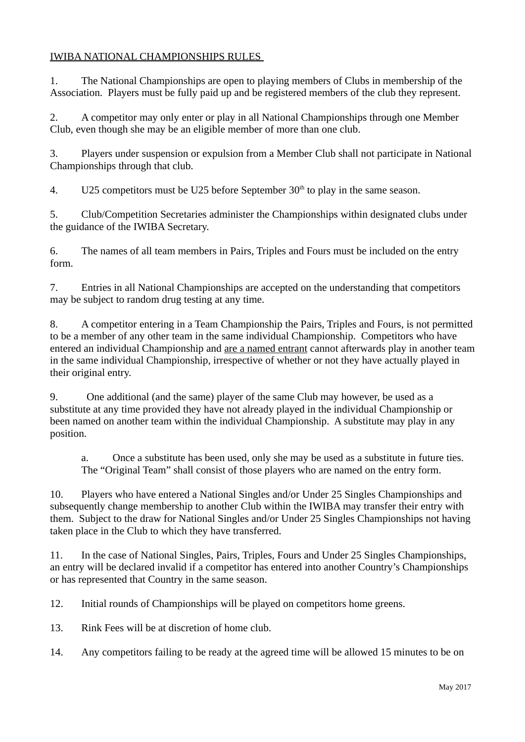# IWIBA NATIONAL CHAMPIONSHIPS RULES

1. The National Championships are open to playing members of Clubs in membership of the Association. Players must be fully paid up and be registered members of the club they represent.

2. A competitor may only enter or play in all National Championships through one Member Club, even though she may be an eligible member of more than one club.

3. Players under suspension or expulsion from a Member Club shall not participate in National Championships through that club.

4. U25 competitors must be U25 before September  $30<sup>th</sup>$  to play in the same season.

5. Club/Competition Secretaries administer the Championships within designated clubs under the guidance of the IWIBA Secretary.

6. The names of all team members in Pairs, Triples and Fours must be included on the entry form.

7. Entries in all National Championships are accepted on the understanding that competitors may be subject to random drug testing at any time.

8. A competitor entering in a Team Championship the Pairs, Triples and Fours, is not permitted to be a member of any other team in the same individual Championship. Competitors who have entered an individual Championship and are a named entrant cannot afterwards play in another team in the same individual Championship, irrespective of whether or not they have actually played in their original entry.

9. One additional (and the same) player of the same Club may however, be used as a substitute at any time provided they have not already played in the individual Championship or been named on another team within the individual Championship. A substitute may play in any position.

a. Once a substitute has been used, only she may be used as a substitute in future ties. The "Original Team" shall consist of those players who are named on the entry form.

10. Players who have entered a National Singles and/or Under 25 Singles Championships and subsequently change membership to another Club within the IWIBA may transfer their entry with them. Subject to the draw for National Singles and/or Under 25 Singles Championships not having taken place in the Club to which they have transferred.

11. In the case of National Singles, Pairs, Triples, Fours and Under 25 Singles Championships, an entry will be declared invalid if a competitor has entered into another Country's Championships or has represented that Country in the same season.

12. Initial rounds of Championships will be played on competitors home greens.

13. Rink Fees will be at discretion of home club.

14. Any competitors failing to be ready at the agreed time will be allowed 15 minutes to be on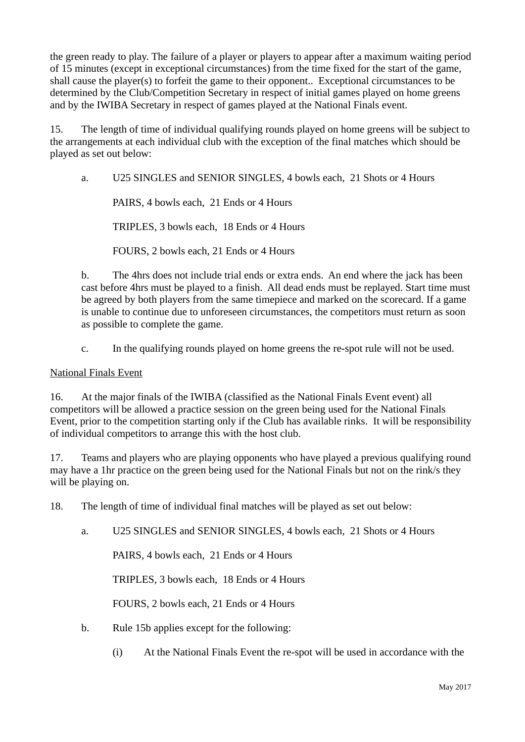the green ready to play. The failure of a player or players to appear after a maximum waiting period of 15 minutes (except in exceptional circumstances) from the time fixed for the start of the game, shall cause the player(s) to forfeit the game to their opponent.. Exceptional circumstances to be determined by the Club/Competition Secretary in respect of initial games played on home greens and by the IWIBA Secretary in respect of games played at the National Finals event.

15. The length of time of individual qualifying rounds played on home greens will be subject to the arrangements at each individual club with the exception of the final matches which should be played as set out below:

a. U25 SINGLES and SENIOR SINGLES, 4 bowls each, 21 Shots or 4 Hours

PAIRS, 4 bowls each, 21 Ends or 4 Hours

TRIPLES, 3 bowls each, 18 Ends or 4 Hours

FOURS, 2 bowls each, 21 Ends or 4 Hours

b. The 4hrs does not include trial ends or extra ends. An end where the jack has been cast before 4hrs must be played to a finish. All dead ends must be replayed. Start time must be agreed by both players from the same timepiece and marked on the scorecard. If a game is unable to continue due to unforeseen circumstances, the competitors must return as soon as possible to complete the game.

c. In the qualifying rounds played on home greens the re-spot rule will not be used.

#### National Finals Event

16. At the major finals of the IWIBA (classified as the National Finals Event event) all competitors will be allowed a practice session on the green being used for the National Finals Event, prior to the competition starting only if the Club has available rinks. It will be responsibility of individual competitors to arrange this with the host club.

17. Teams and players who are playing opponents who have played a previous qualifying round may have a 1hr practice on the green being used for the National Finals but not on the rink/s they will be playing on.

18. The length of time of individual final matches will be played as set out below:

a. U25 SINGLES and SENIOR SINGLES, 4 bowls each, 21 Shots or 4 Hours

PAIRS, 4 bowls each, 21 Ends or 4 Hours

TRIPLES, 3 bowls each, 18 Ends or 4 Hours

FOURS, 2 bowls each, 21 Ends or 4 Hours

- b. Rule 15b applies except for the following:
	- (i) At the National Finals Event the re-spot will be used in accordance with the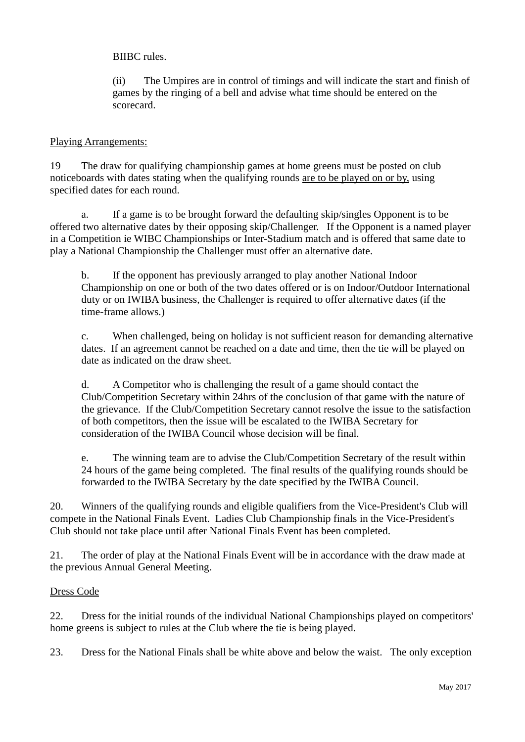BIIBC rules.

(ii) The Umpires are in control of timings and will indicate the start and finish of games by the ringing of a bell and advise what time should be entered on the scorecard.

## Playing Arrangements:

19 The draw for qualifying championship games at home greens must be posted on club noticeboards with dates stating when the qualifying rounds are to be played on or by, using specified dates for each round.

a. If a game is to be brought forward the defaulting skip/singles Opponent is to be offered two alternative dates by their opposing skip/Challenger. If the Opponent is a named player in a Competition ie WIBC Championships or Inter-Stadium match and is offered that same date to play a National Championship the Challenger must offer an alternative date.

b. If the opponent has previously arranged to play another National Indoor Championship on one or both of the two dates offered or is on Indoor/Outdoor International duty or on IWIBA business, the Challenger is required to offer alternative dates (if the time-frame allows.)

c. When challenged, being on holiday is not sufficient reason for demanding alternative dates. If an agreement cannot be reached on a date and time, then the tie will be played on date as indicated on the draw sheet.

d. A Competitor who is challenging the result of a game should contact the Club/Competition Secretary within 24hrs of the conclusion of that game with the nature of the grievance. If the Club/Competition Secretary cannot resolve the issue to the satisfaction of both competitors, then the issue will be escalated to the IWIBA Secretary for consideration of the IWIBA Council whose decision will be final.

e. The winning team are to advise the Club/Competition Secretary of the result within 24 hours of the game being completed. The final results of the qualifying rounds should be forwarded to the IWIBA Secretary by the date specified by the IWIBA Council.

20. Winners of the qualifying rounds and eligible qualifiers from the Vice-President's Club will compete in the National Finals Event. Ladies Club Championship finals in the Vice-President's Club should not take place until after National Finals Event has been completed.

21. The order of play at the National Finals Event will be in accordance with the draw made at the previous Annual General Meeting.

### Dress Code

22. Dress for the initial rounds of the individual National Championships played on competitors' home greens is subject to rules at the Club where the tie is being played.

23. Dress for the National Finals shall be white above and below the waist. The only exception